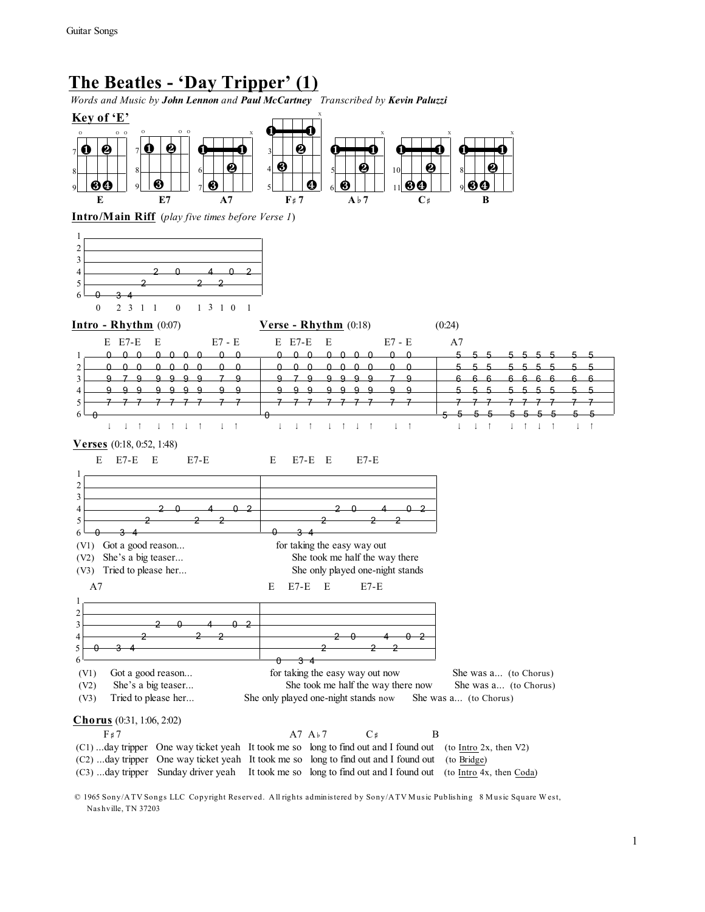# **The Beatles - 'Day Tripper' (1)**

*Words and Music by John Lennon and Paul McCartney Transcribed by Kevin Paluzzi* 



© 1965 Sony/A TV Songs LLC Copyright Res erved. A ll rights adminis tered by Sony/A TV M us ic Publis hing 8 M us ic Square W es t, Nas hville, TN 37203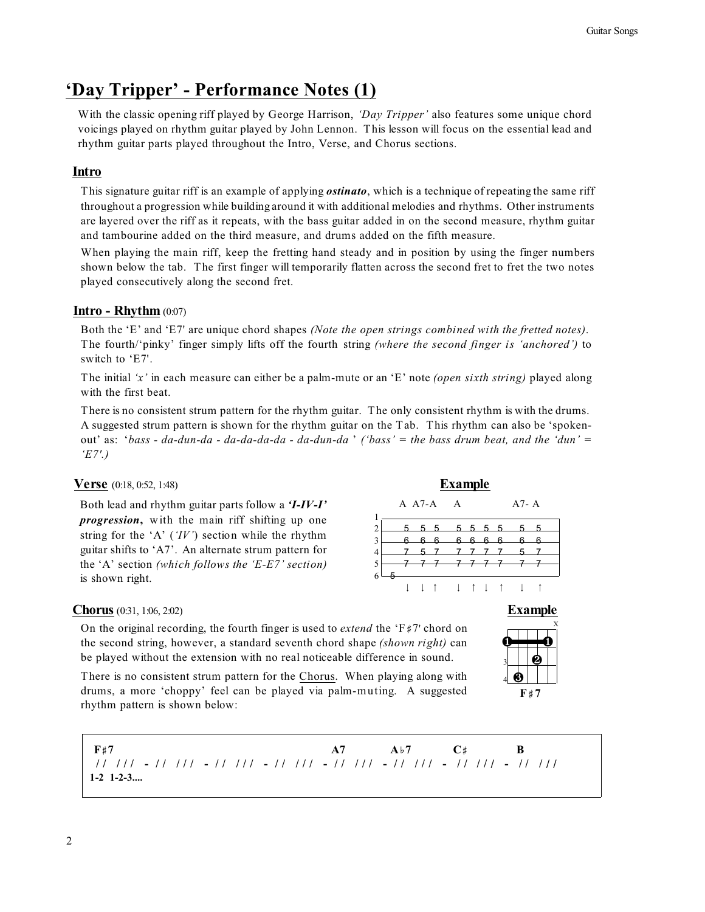# **'Day Tripper' - Performance Notes (1)**

With the classic opening riff played by George Harrison, *'Day Tripper'* also features some unique chord voicings played on rhythm guitar played by John Lennon. This lesson will focus on the essential lead and rhythm guitar parts played throughout the Intro, Verse, and Chorus sections.

### **Intro**

This signature guitar riff is an example of applying *ostinato*, which is a technique of repeating the same riff throughout a progression while building around it with additional melodies and rhythms. Other instruments are layered over the riff as it repeats, with the bass guitar added in on the second measure, rhythm guitar and tambourine added on the third measure, and drums added on the fifth measure.

When playing the main riff, keep the fretting hand steady and in position by using the finger numbers shown below the tab. The first finger will temporarily flatten across the second fret to fret the two notes played consecutively along the second fret.

#### **Intro - Rhythm** (0:07)

Both the 'E' and 'E7' are unique chord shapes *(Note the open strings combined with the fretted notes)*. The fourth/'pinky' finger simply lifts off the fourth string *(where the second finger is 'anchored')* to switch to 'E7'.

The initial *'x'* in each measure can either be a palm-mute or an 'E' note *(open sixth string)* played along with the first beat.

There is no consistent strum pattern for the rhythm guitar. The only consistent rhythm is with the drums. A suggested strum pattern is shown for the rhythm guitar on the Tab. This rhythm can also be 'spokenout' as: '*bass - da-dun-da - da-da-da-da - da-dun-da* ' *('bass' = the bass drum beat, and the 'dun' = 'E7'.)* 

### **Verse** (0:18, 0:52, 1:48) **Example**

Both lead and rhythm guitar parts follow a *'I-IV-I' progression***,** with the main riff shifting up one string for the 'A' (*'IV'*) section while the rhythm guitar shifts to 'A7'. An alternate strum pattern for the 'A' section *(which follows the 'E-E7' section)* is shown right.

|   | $A$ A7-A $A$ |  |  | $A7 - A$ |  |                                                             |  |  |
|---|--------------|--|--|----------|--|-------------------------------------------------------------|--|--|
|   |              |  |  |          |  |                                                             |  |  |
|   |              |  |  |          |  | $5\quad 5\quad 5\quad 5\quad 5\quad 5\quad 5\quad 5\quad 5$ |  |  |
| 3 |              |  |  |          |  |                                                             |  |  |
|   |              |  |  |          |  | 7 5 7 7 7 7 7 5 7                                           |  |  |
|   |              |  |  |          |  | -7777-77                                                    |  |  |
|   |              |  |  |          |  |                                                             |  |  |
|   |              |  |  |          |  |                                                             |  |  |
|   |              |  |  |          |  | 1 1 1 1 1 1 1 1 1                                           |  |  |

#### **Chorus** (0:31, 1:06, 2:02) **Example**

On the original recording, the fourth finger is used to *extend* the 'F<sup>#7'</sup> chord on the second string, however, a standard seventh chord shape *(shown right)* can be played without the extension with no real noticeable difference in sound.

There is no consistent strum pattern for the Chorus. When playing along with drums, a more 'choppy' feel can be played via palm-m uting. A suggested rhythm pattern is shown below:

 $\mathbf{F}$ #7 **B / / / / / - / / / / / - / / / / / - / / / / / - / / / / / - / / / / / - / / / / / - / / / / / 1-2 1-2-3....**

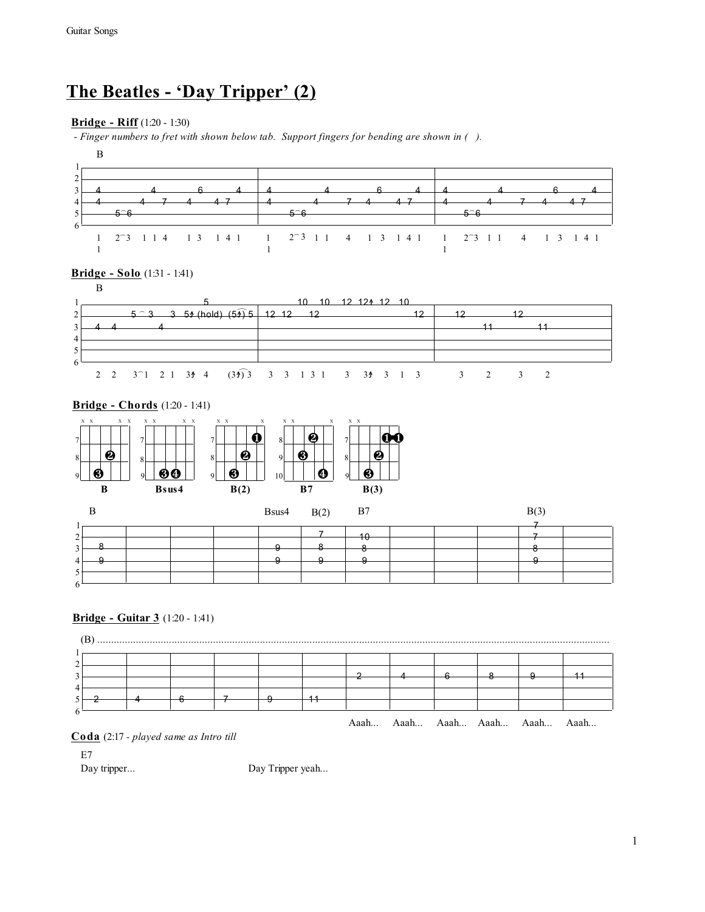# **The Beatles - 'Day Tripper' (2)**

### **Bridge - Riff** (1:20 - 1:30)

*- Finger numbers to fret with shown below tab. Support fingers for bending are shown in ( ).*



# **Bridge - Solo** (1:31 - 1:41)



# **Bridge - Chords** (1:20 - 1:41)



### **Bridge - Guitar 3** (1:20 - 1:41)

| (B) |  |  |  |      |  |                          |  |
|-----|--|--|--|------|--|--------------------------|--|
|     |  |  |  |      |  |                          |  |
|     |  |  |  |      |  |                          |  |
|     |  |  |  |      |  |                          |  |
|     |  |  |  |      |  |                          |  |
|     |  |  |  |      |  |                          |  |
|     |  |  |  |      |  |                          |  |
|     |  |  |  | Aaah |  | Aaah Aaah Aaah Aaah Aaah |  |

#### **Coda** (2:17 *- played same as Intro till*

E7

Day tripper... Day Tripper yeah...